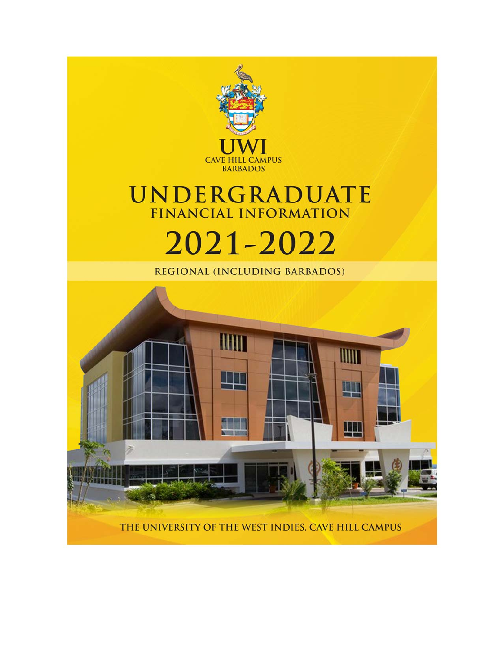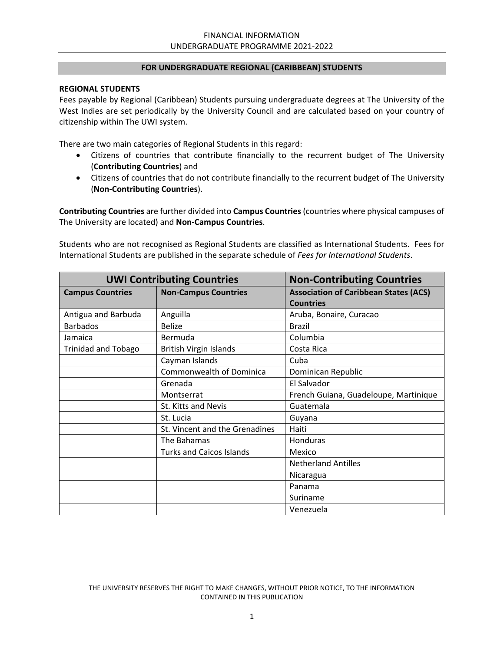#### **FOR UNDERGRADUATE REGIONAL (CARIBBEAN) STUDENTS**

#### **REGIONAL STUDENTS**

Fees payable by Regional (Caribbean) Students pursuing undergraduate degrees at The University of the West Indies are set periodically by the University Council and are calculated based on your country of citizenship within The UWI system.

There are two main categories of Regional Students in this regard:

- Citizens of countries that contribute financially to the recurrent budget of The University (**Contributing Countries**) and
- Citizens of countries that do not contribute financially to the recurrent budget of The University (**Non‐Contributing Countries**).

**Contributing Countries** are further divided into **Campus Countries** (countries where physical campuses of The University are located) and **Non‐Campus Countries**.

Students who are not recognised as Regional Students are classified as International Students. Fees for International Students are published in the separate schedule of *Fees for International Students*.

| <b>UWI Contributing Countries</b> |                                 | <b>Non-Contributing Countries</b>            |
|-----------------------------------|---------------------------------|----------------------------------------------|
| <b>Campus Countries</b>           | <b>Non-Campus Countries</b>     | <b>Association of Caribbean States (ACS)</b> |
|                                   |                                 | <b>Countries</b>                             |
| Antigua and Barbuda               | Anguilla                        | Aruba, Bonaire, Curacao                      |
| <b>Barbados</b>                   | <b>Belize</b>                   | <b>Brazil</b>                                |
| Jamaica                           | Bermuda                         | Columbia                                     |
| <b>Trinidad and Tobago</b>        | <b>British Virgin Islands</b>   | Costa Rica                                   |
|                                   | Cayman Islands                  | Cuba                                         |
|                                   | Commonwealth of Dominica        | Dominican Republic                           |
|                                   | Grenada                         | El Salvador                                  |
|                                   | Montserrat                      | French Guiana, Guadeloupe, Martinique        |
|                                   | St. Kitts and Nevis             | Guatemala                                    |
|                                   | St. Lucia                       | Guyana                                       |
|                                   | St. Vincent and the Grenadines  | Haiti                                        |
|                                   | The Bahamas                     | Honduras                                     |
|                                   | <b>Turks and Caicos Islands</b> | Mexico                                       |
|                                   |                                 | <b>Netherland Antilles</b>                   |
|                                   |                                 | Nicaragua                                    |
|                                   |                                 | Panama                                       |
|                                   |                                 | Suriname                                     |
|                                   |                                 | Venezuela                                    |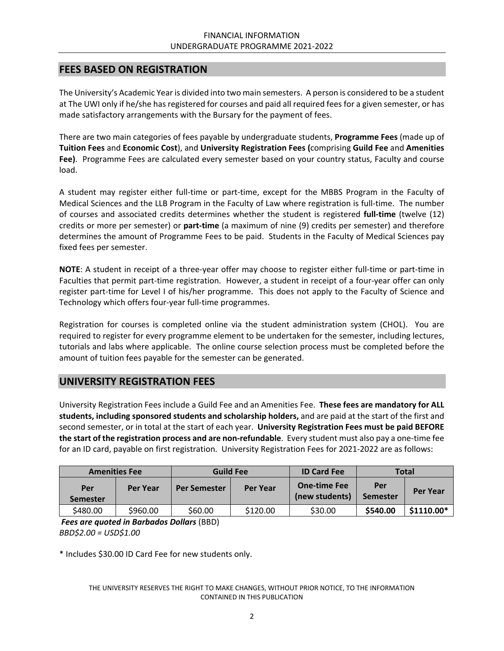### **FEES BASED ON REGISTRATION**

The University's Academic Year is divided into two main semesters. A person is considered to be a student at The UWI only if he/she has registered for courses and paid all required fees for a given semester, or has made satisfactory arrangements with the Bursary for the payment of fees.

There are two main categories of fees payable by undergraduate students, **Programme Fees** (made up of **Tuition Fees** and **Economic Cost**), and **University Registration Fees (**comprising **Guild Fee** and **Amenities Fee)**. Programme Fees are calculated every semester based on your country status, Faculty and course load.

A student may register either full‐time or part‐time, except for the MBBS Program in the Faculty of Medical Sciences and the LLB Program in the Faculty of Law where registration is full‐time. The number of courses and associated credits determines whether the student is registered **full‐time** (twelve (12) credits or more per semester) or **part‐time** (a maximum of nine (9) credits per semester) and therefore determines the amount of Programme Fees to be paid. Students in the Faculty of Medical Sciences pay fixed fees per semester.

**NOTE:** A student in receipt of a three-year offer may choose to register either full-time or part-time in Faculties that permit part-time registration. However, a student in receipt of a four-year offer can only register part‐time for Level I of his/her programme. This does not apply to the Faculty of Science and Technology which offers four‐year full‐time programmes.

Registration for courses is completed online via the student administration system (CHOL). You are required to register for every programme element to be undertaken for the semester, including lectures, tutorials and labs where applicable. The online course selection process must be completed before the amount of tuition fees payable for the semester can be generated.

## **UNIVERSITY REGISTRATION FEES**

University Registration Fees include a Guild Fee and an Amenities Fee. **These fees are mandatory for ALL students, including sponsored students and scholarship holders,** and are paid at the start of the first and second semester, or in total at the start of each year. **University Registration Fees must be paid BEFORE the start of the registration process and are non‐refundable**. Every student must also pay a one‐time fee for an ID card, payable on first registration. University Registration Fees for 2021-2022 are as follows:

|                        | <b>Amenities Fee</b> |                     | <b>Guild Fee</b> |                                       |                        | <b>Total</b> |
|------------------------|----------------------|---------------------|------------------|---------------------------------------|------------------------|--------------|
| Per<br><b>Semester</b> | Per Year             | <b>Per Semester</b> | <b>Per Year</b>  | <b>One-time Fee</b><br>(new students) | Per<br><b>Semester</b> | Per Year     |
| \$480.00               | \$960.00             | \$60.00             | \$120.00         | \$30.00                               | \$540.00               | \$1110.00*   |

*Fees are quoted in Barbados Dollars* (BBD) *BBD\$2.00 = USD\$1.00*

\* Includes \$30.00 ID Card Fee for new students only.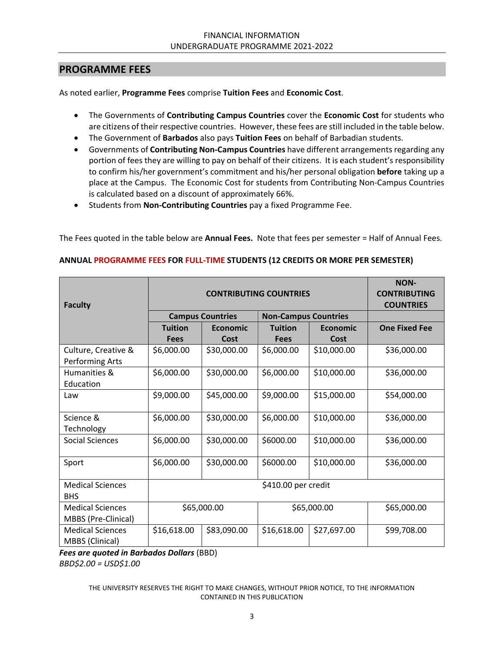### **PROGRAMME FEES**

As noted earlier, **Programme Fees** comprise **Tuition Fees** and **Economic Cost**.

- The Governments of **Contributing Campus Countries** cover the **Economic Cost** for students who are citizens of their respective countries. However, these fees are still included in the table below.
- The Government of **Barbados** also pays **Tuition Fees** on behalf of Barbadian students.
- Governments of **Contributing Non‐Campus Countries** have different arrangements regarding any portion of fees they are willing to pay on behalf of their citizens. It is each student's responsibility to confirm his/her government's commitment and his/her personal obligation **before** taking up a place at the Campus. The Economic Cost for students from Contributing Non‐Campus Countries is calculated based on a discount of approximately 66%.
- Students from **Non-Contributing Countries** pay a fixed Programme Fee.

The Fees quoted in the table below are **Annual Fees.** Note that fees per semester = Half of Annual Fees.

| <b>Faculty</b>                                 | <b>CONTRIBUTING COUNTRIES</b> |                                                        |                |                 | <b>NON-</b><br><b>CONTRIBUTING</b><br><b>COUNTRIES</b> |
|------------------------------------------------|-------------------------------|--------------------------------------------------------|----------------|-----------------|--------------------------------------------------------|
|                                                |                               | <b>Non-Campus Countries</b><br><b>Campus Countries</b> |                |                 |                                                        |
|                                                | <b>Tuition</b>                | Economic                                               | <b>Tuition</b> | <b>Economic</b> | <b>One Fixed Fee</b>                                   |
|                                                | <b>Fees</b>                   | Cost                                                   | <b>Fees</b>    | Cost            |                                                        |
| Culture, Creative &<br>Performing Arts         | \$6,000.00                    | \$30,000.00                                            | \$6,000.00     | \$10,000.00     | \$36,000.00                                            |
| Humanities &<br>Education                      | \$6,000.00                    | \$30,000.00                                            | \$6,000.00     | \$10,000.00     | \$36,000.00                                            |
| Law                                            | \$9,000.00                    | \$45,000.00                                            | \$9,000.00     | \$15,000.00     | \$54,000.00                                            |
| Science &<br>Technology                        | \$6,000.00                    | \$30,000.00                                            | \$6,000.00     | \$10,000.00     | \$36,000.00                                            |
| <b>Social Sciences</b>                         | \$6,000.00                    | \$30,000.00                                            | \$6000.00      | \$10,000.00     | \$36,000.00                                            |
| Sport                                          | \$6,000.00                    | \$30,000.00                                            | \$6000.00      | \$10,000.00     | \$36,000.00                                            |
| <b>Medical Sciences</b><br><b>BHS</b>          | \$410.00 per credit           |                                                        |                |                 |                                                        |
| <b>Medical Sciences</b><br>MBBS (Pre-Clinical) | \$65,000.00<br>\$65,000.00    |                                                        | \$65,000.00    |                 |                                                        |
| <b>Medical Sciences</b><br>MBBS (Clinical)     | \$16,618.00                   | \$83,090.00                                            | \$16,618.00    | \$27,697.00     | \$99,708.00                                            |

#### **ANNUAL PROGRAMME FEES FOR FULL‐TIME STUDENTS (12 CREDITS OR MORE PER SEMESTER)**

*Fees are quoted in Barbados Dollars* (BBD) *BBD\$2.00 = USD\$1.00*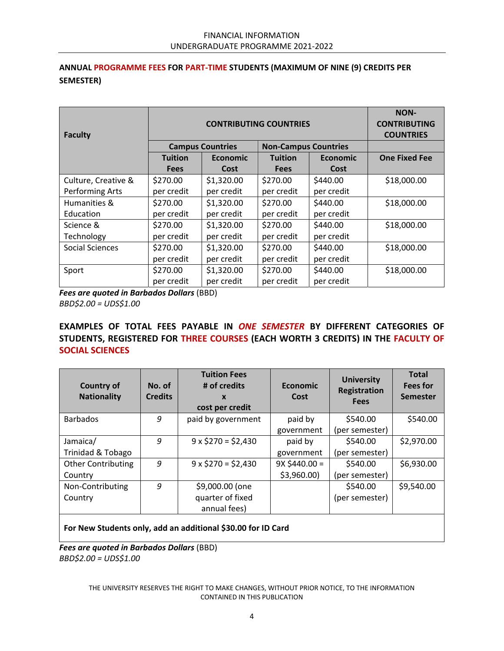### **ANNUAL PROGRAMME FEES FOR PART‐TIME STUDENTS (MAXIMUM OF NINE (9) CREDITS PER SEMESTER)**

| <b>Faculty</b>         |                                                        | <b>NON-</b><br><b>CONTRIBUTING</b><br><b>COUNTRIES</b> |                |                 |                      |
|------------------------|--------------------------------------------------------|--------------------------------------------------------|----------------|-----------------|----------------------|
|                        | <b>Campus Countries</b><br><b>Non-Campus Countries</b> |                                                        |                |                 |                      |
|                        | <b>Tuition</b>                                         | <b>Economic</b>                                        | <b>Tuition</b> | <b>Economic</b> | <b>One Fixed Fee</b> |
|                        | <b>Fees</b>                                            | Cost                                                   | <b>Fees</b>    | Cost            |                      |
| Culture, Creative &    | \$270.00                                               | \$1,320.00                                             | \$270.00       | \$440.00        | \$18,000.00          |
| Performing Arts        | per credit                                             | per credit                                             | per credit     | per credit      |                      |
| Humanities &           | \$270.00                                               | \$1,320.00                                             | \$270.00       | \$440.00        | \$18,000.00          |
| Education              | per credit                                             | per credit                                             | per credit     | per credit      |                      |
| Science &              | \$270.00                                               | \$1,320.00                                             | \$270.00       | \$440.00        | \$18,000.00          |
| Technology             | per credit                                             | per credit                                             | per credit     | per credit      |                      |
| <b>Social Sciences</b> | \$270.00                                               | \$1,320.00                                             | \$270.00       | \$440.00        | \$18,000.00          |
|                        | per credit                                             | per credit                                             | per credit     | per credit      |                      |
| Sport                  | \$270.00                                               | \$1,320.00                                             | \$270.00       | \$440.00        | \$18,000.00          |
|                        | per credit                                             | per credit                                             | per credit     | per credit      |                      |

*Fees are quoted in Barbados Dollars* (BBD)

*BBD\$2.00 = UDS\$1.00* 

### **EXAMPLES OF TOTAL FEES PAYABLE IN**  *ONE SEMESTER* **BY DIFFERENT CATEGORIES OF STUDENTS, REGISTERED FOR THREE COURSES (EACH WORTH 3 CREDITS) IN THE FACULTY OF SOCIAL SCIENCES**

| <b>Country of</b><br><b>Nationality</b> | No. of<br><b>Credits</b> | <b>Tuition Fees</b><br># of credits<br>$\mathbf x$<br>cost per credit | <b>Economic</b><br>Cost | <b>University</b><br><b>Registration</b><br><b>Fees</b> | <b>Total</b><br><b>Fees for</b><br><b>Semester</b> |
|-----------------------------------------|--------------------------|-----------------------------------------------------------------------|-------------------------|---------------------------------------------------------|----------------------------------------------------|
| <b>Barbados</b>                         | 9                        | paid by government                                                    | paid by                 | \$540.00                                                | \$540.00                                           |
|                                         |                          |                                                                       | government              | (per semester)                                          |                                                    |
| Jamaica/                                | 9                        | $9 \times $270 = $2,430$                                              | paid by                 | \$540.00                                                | \$2,970.00                                         |
| Trinidad & Tobago                       |                          |                                                                       | government              | (per semester)                                          |                                                    |
| <b>Other Contributing</b>               | 9                        | $9 \times $270 = $2,430$                                              | $9X $440.00 =$          | \$540.00                                                | \$6,930.00                                         |
| Country                                 |                          |                                                                       | \$3,960.00              | (per semester)                                          |                                                    |
| Non-Contributing                        | 9                        | \$9,000.00 (one                                                       |                         | \$540.00                                                | \$9,540.00                                         |
| Country                                 |                          | quarter of fixed                                                      |                         | (per semester)                                          |                                                    |
|                                         |                          | annual fees)                                                          |                         |                                                         |                                                    |

**For New Students only, add an additional \$30.00 for ID Card** 

*Fees are quoted in Barbados Dollars* (BBD) *BBD\$2.00 = UDS\$1.00*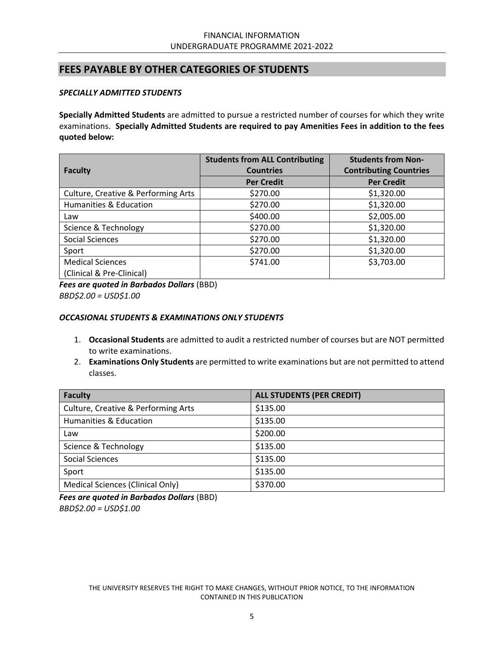## **FEES PAYABLE BY OTHER CATEGORIES OF STUDENTS**

#### *SPECIALLY ADMITTED STUDENTS*

**Specially Admitted Students** are admitted to pursue a restricted number of courses for which they write examinations. **Specially Admitted Students are required to pay Amenities Fees in addition to the fees quoted below:** 

|                                     | <b>Students from ALL Contributing</b> | <b>Students from Non-</b>     |  |
|-------------------------------------|---------------------------------------|-------------------------------|--|
| <b>Faculty</b>                      | <b>Countries</b>                      | <b>Contributing Countries</b> |  |
|                                     | <b>Per Credit</b>                     | <b>Per Credit</b>             |  |
| Culture, Creative & Performing Arts | \$270.00                              | \$1,320.00                    |  |
| <b>Humanities &amp; Education</b>   | \$270.00                              | \$1,320.00                    |  |
| Law                                 | \$400.00                              | \$2,005.00                    |  |
| Science & Technology                | \$270.00                              | \$1,320.00                    |  |
| Social Sciences                     | \$270.00                              | \$1,320.00                    |  |
| Sport                               | \$270.00                              | \$1,320.00                    |  |
| <b>Medical Sciences</b>             | \$741.00                              | \$3,703.00                    |  |
| (Clinical & Pre-Clinical)           |                                       |                               |  |

*Fees are quoted in Barbados Dollars* (BBD) *BBD\$2.00 = USD\$1.00* 

#### *OCCASIONAL STUDENTS & EXAMINATIONS ONLY STUDENTS*

- 1. **Occasional Students** are admitted to audit a restricted number of courses but are NOT permitted to write examinations.
- 2. **Examinations Only Students** are permitted to write examinations but are not permitted to attend classes.

| <b>Faculty</b>                          | <b>ALL STUDENTS (PER CREDIT)</b> |
|-----------------------------------------|----------------------------------|
| Culture, Creative & Performing Arts     | \$135.00                         |
| Humanities & Education                  | \$135.00                         |
| Law                                     | \$200.00                         |
| Science & Technology                    | \$135.00                         |
| <b>Social Sciences</b>                  | \$135.00                         |
| Sport                                   | \$135.00                         |
| <b>Medical Sciences (Clinical Only)</b> | \$370.00                         |

*Fees are quoted in Barbados Dollars* (BBD) *BBD\$2.00 = USD\$1.00*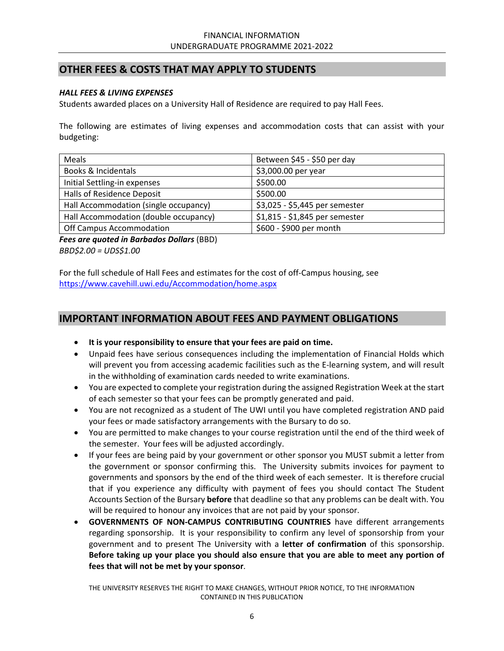# **OTHER FEES & COSTS THAT MAY APPLY TO STUDENTS**

#### *HALL FEES & LIVING EXPENSES*

Students awarded places on a University Hall of Residence are required to pay Hall Fees.

The following are estimates of living expenses and accommodation costs that can assist with your budgeting:

| Meals                                 | Between \$45 - \$50 per day    |
|---------------------------------------|--------------------------------|
| Books & Incidentals                   | \$3,000.00 per year            |
| Initial Settling-in expenses          | \$500.00                       |
| Halls of Residence Deposit            | \$500.00                       |
| Hall Accommodation (single occupancy) | \$3,025 - \$5,445 per semester |
| Hall Accommodation (double occupancy) | \$1,815 - \$1,845 per semester |
| Off Campus Accommodation              | \$600 - \$900 per month        |

*Fees are quoted in Barbados Dollars* (BBD) *BBD\$2.00 = UDS\$1.00* 

For the full schedule of Hall Fees and estimates for the cost of off‐Campus housing, see https://www.cavehill.uwi.edu/Accommodation/home.aspx

## **IMPORTANT INFORMATION ABOUT FEES AND PAYMENT OBLIGATIONS**

- **It is your responsibility to ensure that your fees are paid on time.**
- Unpaid fees have serious consequences including the implementation of Financial Holds which will prevent you from accessing academic facilities such as the E-learning system, and will result in the withholding of examination cards needed to write examinations.
- You are expected to complete your registration during the assigned Registration Week at the start of each semester so that your fees can be promptly generated and paid.
- You are not recognized as a student of The UWI until you have completed registration AND paid your fees or made satisfactory arrangements with the Bursary to do so.
- You are permitted to make changes to your course registration until the end of the third week of the semester. Your fees will be adjusted accordingly.
- If your fees are being paid by your government or other sponsor you MUST submit a letter from the government or sponsor confirming this. The University submits invoices for payment to governments and sponsors by the end of the third week of each semester. It is therefore crucial that if you experience any difficulty with payment of fees you should contact The Student Accounts Section of the Bursary **before** that deadline so that any problems can be dealt with. You will be required to honour any invoices that are not paid by your sponsor.
- **GOVERNMENTS OF NON‐CAMPUS CONTRIBUTING COUNTRIES** have different arrangements regarding sponsorship. It is your responsibility to confirm any level of sponsorship from your government and to present The University with a **letter of confirmation** of this sponsorship. **Before taking up your place you should also ensure that you are able to meet any portion of fees that will not be met by your sponsor**.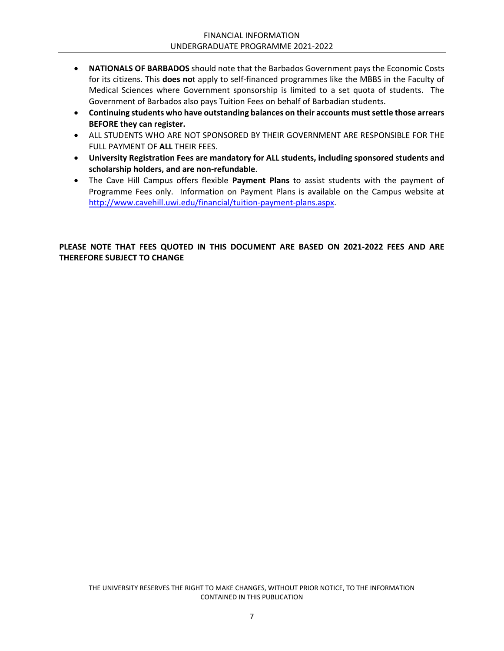- **NATIONALS OF BARBADOS** should note that the Barbados Government pays the Economic Costs for its citizens. This **does no**t apply to self‐financed programmes like the MBBS in the Faculty of Medical Sciences where Government sponsorship is limited to a set quota of students. The Government of Barbados also pays Tuition Fees on behalf of Barbadian students.
- **Continuing students who have outstanding balances on their accounts must settle those arrears BEFORE they can register.**
- ALL STUDENTS WHO ARE NOT SPONSORED BY THEIR GOVERNMENT ARE RESPONSIBLE FOR THE FULL PAYMENT OF **ALL** THEIR FEES.
- **University Registration Fees are mandatory for ALL students, including sponsored students and scholarship holders, and are non‐refundable**.
- The Cave Hill Campus offers flexible **Payment Plans** to assist students with the payment of Programme Fees only. Information on Payment Plans is available on the Campus website at http://www.cavehill.uwi.edu/financial/tuition‐payment‐plans.aspx.

#### **PLEASE NOTE THAT FEES QUOTED IN THIS DOCUMENT ARE BASED ON 2021‐2022 FEES AND ARE THEREFORE SUBJECT TO CHANGE**